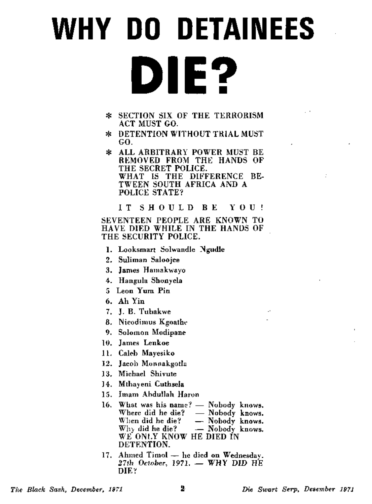## **WHY DO DETAINEES DIE?**

- \* SECTION SIX OF THE TERRORISM ACT MUST GO.
- *\** DETENTION WITHOUT TRIAL MUST GO.
- \* ALL ARBITRARY POWER MUST BE REMOVED FROM THE HANDS OF THE SECRET POLICE. WHAT IS THE DIFFERENCE BE-TWEEN SOUTH AFRICA AND A POLICE STATE?

I T SHOUL D B E YOU !

SEVENTEEN PEOPLE ARE KNOWN TO HAVE DIED WHILE IN THE HANDS OF THE SECURITY POLICE.

- 1. Looksmart Solwandle Ngudle
- 2. Suliman Saloojee
- 3. James Hamakwayo
- 4. Hangula Shonyela
- 5 Leon Yum Pin
- 6. Ah Yin
- 7. J. B. Tubakwe
- 8. Nicodimus Kgoathe
- 9. Solomon Modipane
- 10. James Lenkoe
- 11. Caleb Mayesiko
- 12. Jacob Monnakgotla
- 13. Michael Shivute
- 14. Mthayeni Cuthsela
- 15. Imam Abdullah Haron
- 16. What was his name? Nobody knows. Where did he die? — Nobody knows. When did he die? — Nobody knows.  $W<sub>hy</sub>$  did he die?  $\qquad \qquad$  Mobody knows. WE ONLY KNOW HE DIED IN DETENTION.
- 17. Ahmed Timol he died on Wednesday. 27th October, 1971. — WHY DID HE DIE?